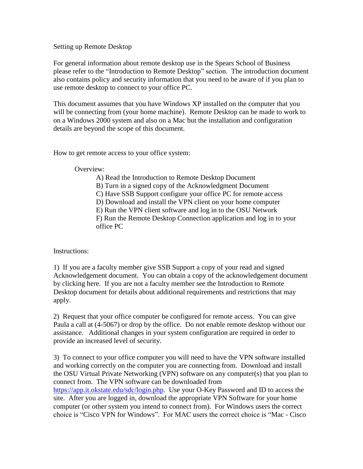## Setting up Remote Desktop

For general information about remote desktop use in the Spears School of Business please refer to the "Introduction to Remote Desktop" section. The introduction document also contains policy and security information that you need to be aware of if you plan to use remote desktop to connect to your office PC.

This document assumes that you have Windows XP installed on the computer that you will be connecting from (your home machine). Remote Desktop can be made to work to on a Windows 2000 system and also on a Mac but the installation and configuration details are beyond the scope of this document.

How to get remote access to your office system:

Overview:

A) Read the Introduction to Remote Desktop Document

B) Turn in a signed copy of the Acknowledgment Document

C) Have SSB Support configure your office PC for remote access

D) Download and install the VPN client on your home computer

E) Run the VPN client software and log in to the OSU Network

F) Run the Remote Desktop Connection application and log in to your office PC

Instructions:

1) If you are a faculty member give SSB Support a copy of your read and signed Acknowledgement document. You can obtain a copy of the acknowledgement document by clicking here. If you are not a faculty member see the Introduction to Remote Desktop document for details about additional requirements and restrictions that may apply.

2) Request that your office computer be configured for remote access. You can give Paula a call at (4-5067) or drop by the office. Do not enable remote desktop without our assistance. Additional changes in your system configuration are required in order to provide an increased level of security.

3) To connect to your office computer you will need to have the VPN software installed and working correctly on the computer you are connecting from. Download and install the OSU Virtual Private Networking (VPN) software on any computer(s) that you plan to connect from. The VPN software can be downloaded from [https://app.it.okstate.edu/sdc/login.php.](https://app.it.okstate.edu/sdc/login.php) Use your O-Key Password and ID to access the site. After you are logged in, download the appropriate VPN Software for your home computer (or other system you intend to connect from). For Windows users the correct choice is "Cisco VPN for Windows". For MAC users the correct choice is "Mac - Cisco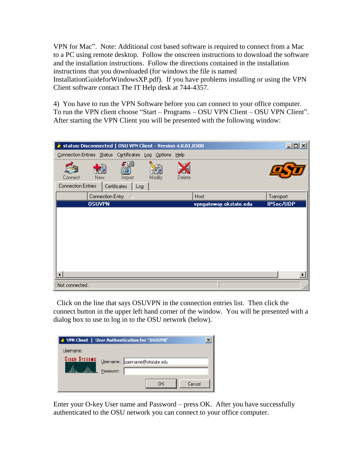VPN for Mac". Note: Additional cost based software is required to connect from a Mac to a PC using remote desktop. Follow the onscreen instructions to download the software and the installation instructions. Follow the directions contained in the installation instructions that you downloaded (for windows the file is named InstallationGuideforWindowsXP.pdf). If you have problems installing or using the VPN Client software contact The IT Help desk at 744-4357.

4) You have to run the VPN Software before you can connect to your office computer. To run the VPN client choose "Start – Programs – OSU VPN Client – OSU VPN Client". After starting the VPN Client you will be presented with the following window:



 Click on the line that says OSUVPN in the connection entries list. Then click the connect button in the upper left hand corner of the window. You will be presented with a dialog box to use to log in to the OSU network (below).

| User Authentication for "OSUVPII" |                              |  |  |
|-----------------------------------|------------------------------|--|--|
| Usemame:<br><b>CISCO SYSTEMS</b>  | Usemame: usemame@okstate.edu |  |  |
|                                   | Password:<br>Cancel<br>ок    |  |  |

Enter your O-key User name and Password – press OK. After you have successfully authenticated to the OSU network you can connect to your office computer.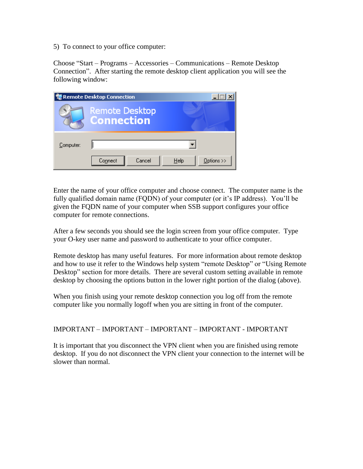5) To connect to your office computer:

Choose "Start – Programs – Accessories – Communications – Remote Desktop Connection". After starting the remote desktop client application you will see the following window:

|           | <b>Remote Desktop Connection</b>           |                    |
|-----------|--------------------------------------------|--------------------|
|           | <b>Remote Desktop</b><br><b>Connection</b> |                    |
| Computer: |                                            |                    |
|           | Cancel<br>Connect                          | Options >><br>Help |

Enter the name of your office computer and choose connect. The computer name is the fully qualified domain name (FQDN) of your computer (or it's IP address). You'll be given the FQDN name of your computer when SSB support configures your office computer for remote connections.

After a few seconds you should see the login screen from your office computer. Type your O-key user name and password to authenticate to your office computer.

Remote desktop has many useful features. For more information about remote desktop and how to use it refer to the Windows help system "remote Desktop" or "Using Remote Desktop" section for more details. There are several custom setting available in remote desktop by choosing the options button in the lower right portion of the dialog (above).

When you finish using your remote desktop connection you log off from the remote computer like you normally logoff when you are sitting in front of the computer.

## IMPORTANT – IMPORTANT – IMPORTANT – IMPORTANT - IMPORTANT

It is important that you disconnect the VPN client when you are finished using remote desktop. If you do not disconnect the VPN client your connection to the internet will be slower than normal.